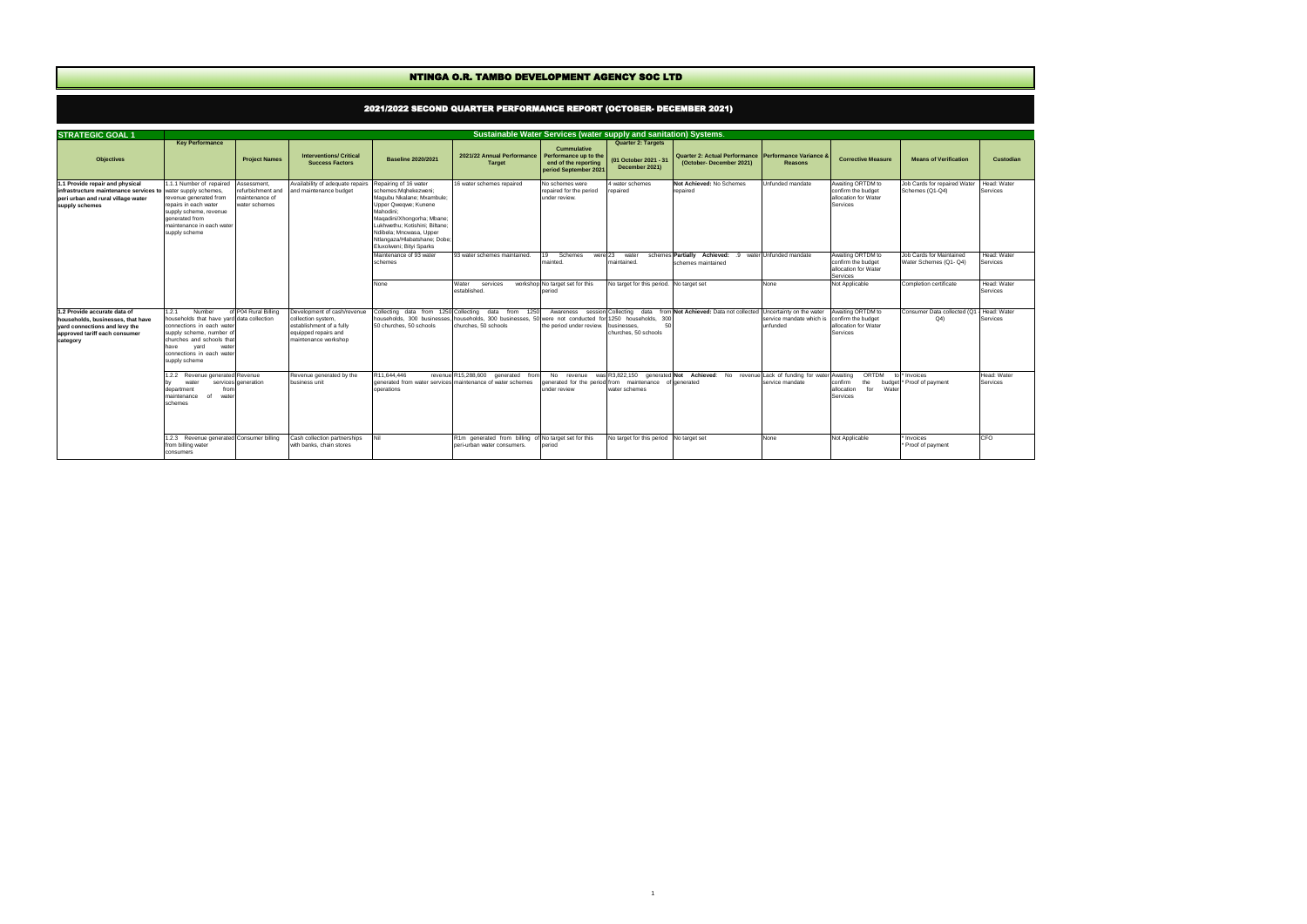|                                                                                                                                                 |                                                                                                                                                                                                                           |                                                                     |                                                                                                                               |                                                                                                                                                                                                                                                                        | NTINGA O.R. TAMBO DEVELOPMENT AGENCY SOC LTD                                                                                         |                                                                                              |                                                                                     |                                                                                      |                                                                  |                                                                                    |                                                    |                                |
|-------------------------------------------------------------------------------------------------------------------------------------------------|---------------------------------------------------------------------------------------------------------------------------------------------------------------------------------------------------------------------------|---------------------------------------------------------------------|-------------------------------------------------------------------------------------------------------------------------------|------------------------------------------------------------------------------------------------------------------------------------------------------------------------------------------------------------------------------------------------------------------------|--------------------------------------------------------------------------------------------------------------------------------------|----------------------------------------------------------------------------------------------|-------------------------------------------------------------------------------------|--------------------------------------------------------------------------------------|------------------------------------------------------------------|------------------------------------------------------------------------------------|----------------------------------------------------|--------------------------------|
|                                                                                                                                                 |                                                                                                                                                                                                                           |                                                                     |                                                                                                                               |                                                                                                                                                                                                                                                                        | 2021/2022 SECOND QUARTER PERFORMANCE REPORT (OCTOBER- DECEMBER 2021)                                                                 |                                                                                              |                                                                                     |                                                                                      |                                                                  |                                                                                    |                                                    |                                |
| <b>STRATEGIC GOAL 1</b>                                                                                                                         |                                                                                                                                                                                                                           |                                                                     |                                                                                                                               |                                                                                                                                                                                                                                                                        | Sustainable Water Services (water supply and sanitation) Systems.                                                                    |                                                                                              |                                                                                     |                                                                                      |                                                                  |                                                                                    |                                                    |                                |
| <b>Objectives</b>                                                                                                                               | <b>Key Performance</b>                                                                                                                                                                                                    | <b>Project Names</b>                                                | <b>Interventions/ Critical</b><br><b>Success Factors</b>                                                                      | <b>Baseline 2020/2021</b>                                                                                                                                                                                                                                              | 2021/22 Annual Performance<br>Target                                                                                                 | <b>Cummulative</b><br>Performance up to the<br>end of the reporting<br>period September 2021 | <b>Quarter 2: Targets</b><br>(01 October 2021 - 31<br>December 2021)                | Quarter 2: Actual Performance   Performance Variance 8<br>(October-December 2021)    | <b>Reasons</b>                                                   | <b>Corrective Measure</b>                                                          | <b>Means of Verification</b>                       | <b>Custodian</b>               |
| 1.1 Provide repair and physical<br>infrastructure maintenance services to<br>peri urban and rural village water<br>supply schemes               | .1.1 Number of repaired<br>water supply schemes,<br>revenue generated from<br>repairs in each water<br>supply scheme, revenue<br>generated from<br>maintenance in each water<br>supply scheme                             | Assessment,<br>refurbishment and<br>maintenance of<br>water schemes | Availability of adequate repairs<br>and maintenance budget                                                                    | Repairing of 16 water<br>schemes:Mghekezweni;<br>Magubu Nkalane; Mxambule;<br>Upper Qweqwe; Kunene<br>Mahodini:<br>Magadini/Xhongorha; Mbane;<br>Lukhwethu; Kotishini; Biltane;<br>Ndibela; Mncwasa, Upper<br>Ntlangaza/Hlabatshane; Dobe;<br>Eluxolweni; Bityi Sparks | 16 water schemes repaired                                                                                                            | No schemes were<br>repaired for the period<br>under review.                                  | 4 water schemes<br>repaired                                                         | Not Achieved: No Schemes<br>repaired                                                 | Unfunded mandate                                                 | Awaiting ORTDM to<br>confirm the budget<br>allocation for Water<br><b>Services</b> | Job Cards for repaired Water<br>Schemes (Q1-Q4)    | Head: Water<br>Services        |
|                                                                                                                                                 |                                                                                                                                                                                                                           |                                                                     |                                                                                                                               | Maintenance of 93 water<br>schemes                                                                                                                                                                                                                                     | 93 water schemes maintained.                                                                                                         | Schemes<br>were 23<br>19<br>mainted.                                                         | water<br>maintained.                                                                | schemes Partially Achieved: .9<br>schemes maintained                                 | water Unfunded mandate                                           | Awaiting ORTDM to<br>confirm the budget<br>allocation for Water<br><b>Services</b> | Job Cards for Maintained<br>Water Schemes (Q1- Q4) | Head: Water<br><b>Services</b> |
|                                                                                                                                                 |                                                                                                                                                                                                                           |                                                                     |                                                                                                                               | None                                                                                                                                                                                                                                                                   | Water<br>services<br>established.                                                                                                    | workshop No target set for this<br>period                                                    | No target for this period. No target set                                            |                                                                                      | None                                                             | Not Applicable                                                                     | Completion certificate                             | Head: Water<br>Services        |
| 1.2 Provide accurate data of<br>households, businesses, that have<br>vard connections and levy the<br>approved tariff each consumer<br>category | 1.2.1<br>Number<br>households that have yard data collection<br>connections in each water<br>supply scheme, number of<br>churches and schools that<br>have<br>yard<br>water<br>connections in each water<br>supply scheme | of P04 Rural Billing                                                | Development of cash/revenue<br>collection system,<br>establishment of a fully<br>equipped repairs and<br>maintenance workshop | households, 300 businesses.<br>50 churches, 50 schools                                                                                                                                                                                                                 | Collecting data from 1250 Collecting data from 1250<br>households, 300 businesses, 50 were not conducted for<br>churches, 50 schools | Awareness<br>the period under review.                                                        | session Collecting<br>1250 households,<br>300<br>businesses<br>churches, 50 schools | data from Not Achieved: Data not collected                                           | Uncertainty on the water<br>service mandate which is<br>unfunded | Awaiting ORTDM to<br>confirm the budget<br>allocation for Water<br>Services        | Consumer Data collected (Q1<br>Q(4)                | Head: Water<br>Services        |
|                                                                                                                                                 | 1.2.2 Revenue generated Revenue<br>water<br>from<br>department<br>maintenance<br>water<br>of<br>schemes                                                                                                                   | services generation                                                 | Revenue generated by the<br>business unit                                                                                     | R11,644,446<br>operations                                                                                                                                                                                                                                              | revenue R15,288,600 generated from<br>generated from water services maintenance of water schemes                                     | No revenue<br>under review                                                                   | enerated for the period from maintenance of generated<br>water schemes              | was R3,822,150 generated Not Achieved: No revenue Lack of funding for water Awaiting | service mandate                                                  | ORTDM<br>confirm<br>the<br>budget<br>for<br>allocation<br>Wate<br>Services         | * Invoices<br>* Proof of payment                   | Head: Water<br><b>Services</b> |
|                                                                                                                                                 | 1.2.3 Revenue generated Consumer billing<br>from billing water<br>consumers                                                                                                                                               |                                                                     | Cash collection partnerships<br>with banks, chain stores                                                                      |                                                                                                                                                                                                                                                                        | R1m generated from billing of No target set for this<br>peri-urban water consumers.                                                  | period                                                                                       | No target for this period No target set                                             |                                                                                      | None                                                             | Not Applicable                                                                     | Invoices<br>* Proof of payment                     | CFO                            |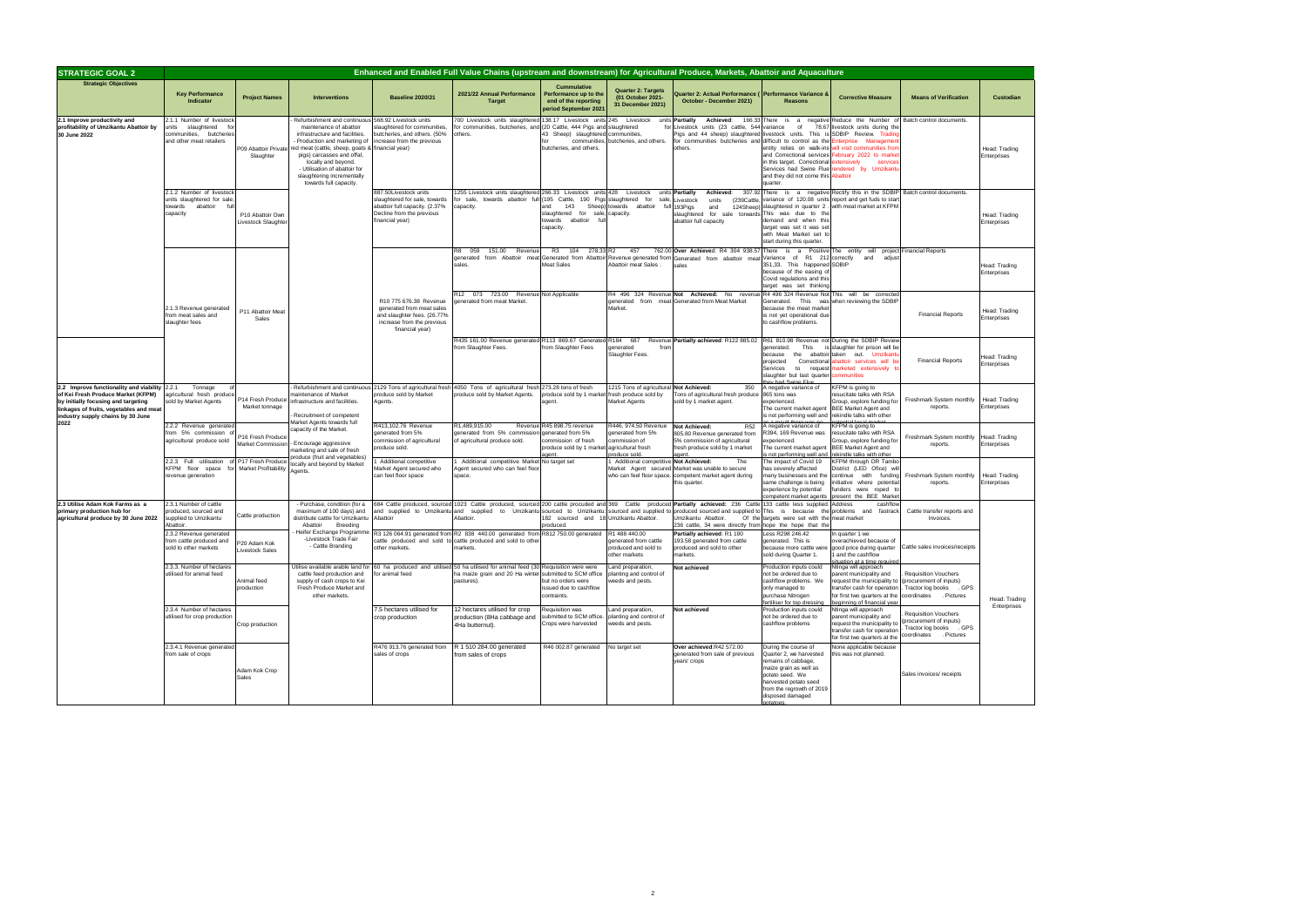| <b>Custodian</b>             |
|------------------------------|
| Head: Trading<br>Enterprises |
| Head: Trading<br>Enterprises |
| Head: Trading<br>Enterprises |
| Head: Trading<br>Enterprises |
| Head: Trading<br>Enterprises |
| Head: Trading<br>Enterprises |
| Head: Trading<br>Enterprises |
| Head: Trading<br>Enterprises |

| <b>STRATEGIC GOAL 2</b>                                                                                                                                                                                    |                                                                                                          |                                                     |                                                                                                                                                                                                                                                                                                                           |                                                                                                                                         |                                                                                                                                                                                                 |                                                                                                  |                                                                             | Enhanced and Enabled Full Value Chains (upstream and downstream) for Agricultural Produce, Markets, Abattoir and Aquaculture                                                                                                                                                                                                                                                                                 |                                                                                                                                                                                                               |                                                                                                                                                                                                                                            |                                                                                                             |                              |
|------------------------------------------------------------------------------------------------------------------------------------------------------------------------------------------------------------|----------------------------------------------------------------------------------------------------------|-----------------------------------------------------|---------------------------------------------------------------------------------------------------------------------------------------------------------------------------------------------------------------------------------------------------------------------------------------------------------------------------|-----------------------------------------------------------------------------------------------------------------------------------------|-------------------------------------------------------------------------------------------------------------------------------------------------------------------------------------------------|--------------------------------------------------------------------------------------------------|-----------------------------------------------------------------------------|--------------------------------------------------------------------------------------------------------------------------------------------------------------------------------------------------------------------------------------------------------------------------------------------------------------------------------------------------------------------------------------------------------------|---------------------------------------------------------------------------------------------------------------------------------------------------------------------------------------------------------------|--------------------------------------------------------------------------------------------------------------------------------------------------------------------------------------------------------------------------------------------|-------------------------------------------------------------------------------------------------------------|------------------------------|
| <b>Strategic Objectives</b>                                                                                                                                                                                | <b>Key Performance</b><br>Indicator                                                                      | <b>Project Names</b>                                | <b>Interventions</b>                                                                                                                                                                                                                                                                                                      | <b>Baseline 2020/21</b>                                                                                                                 | 2021/22 Annual Performance<br><b>Target</b>                                                                                                                                                     | <b>Cummulative</b><br>Performance up to the<br>end of the reporting<br>period September 2021     | <b>Quarter 2: Targets</b><br>(01 October 2021-<br>31 December 2021)         | Quarter 2: Actual Performance ( Performance Variance &<br>October - December 2021)                                                                                                                                                                                                                                                                                                                           | <b>Reasons</b>                                                                                                                                                                                                | <b>Corrective Measure</b>                                                                                                                                                                                                                  | <b>Means of Verification</b>                                                                                | Custodian                    |
| 2.1 Improve productivity and<br>profitability of Umzikantu Abattoir by<br>30 June 2022                                                                                                                     | 2.1.1 Number of livestock<br>units slaughtered fo<br>communities, butcheries<br>and other meat retailers | P09 Abattoir Private<br>Slaughter                   | Refurbishment and continuous<br>maintenance of abattoir<br>infrastructure and facilities.<br>Production and marketing of<br>ed meat (cattle, sheep, goats & financial year)<br>pigs) carcasses and offal,<br>locally and beyond.<br>- Utilisation of abattoir for<br>slaughtering incrementally<br>towards full capacity. | 568.92 Livestock units<br>slaughtered for communities,<br>butcheries, and others. (50%<br>increase from the previous                    | 700 Livestock units slaughtered 138.17 Livestock units 245 Livestock<br>for communities, butcheries, and (20 Cattle, 444 Pigs and slaughtered<br>others.                                        | 43 Sheep) slaughtered communities.<br>for<br>butcheries, and others.                             | communities, butcheries, and others.                                        | units <b>Partially</b><br>Achieved:<br>for Livestock units (23 cattle, 544<br>ligs and 44 sheep) slaughtered livestock units.<br>or communities butcheries and difficult to control as the<br>others.                                                                                                                                                                                                        | 166.33 There<br>is<br>a<br>negative<br>variance<br>of<br>This is<br>entity relies on walk-ins<br>and Correctional services<br>in this target. Correctional<br>and they did not come this Abattoir<br>quarter. | Reduce the Number of<br>78.67 livestock units during the<br>SDBIP Review. Trading<br>nterprise Managemer<br>rill visit communities fron<br>ebruary 2022 to marke<br>extensively<br>service<br>Services had Swine Flue rendered by Umzikant | Batch control documents.                                                                                    | Head: Trading<br>Enterprises |
|                                                                                                                                                                                                            | 2.1.2 Number of livestock<br>units slaughtered for sale<br>abattoir<br>towards<br>capacity               | P10 Abattoir Own<br>Livestock Slaughte              |                                                                                                                                                                                                                                                                                                                           | 887.50Livestock units<br>slaughtered for sale, towards<br>abattoir full capacity. (2.37%<br>Decline from the previous<br>inancial year) | 1255 Livestock units slaughtered 266.33 Livestock units 428 Livestock<br>for sale, towards abattoir full (195 Cattle, 190 Pigs slaughtered for<br>capacity.                                     | and<br>143<br>slaughtered for sale, capacity.<br>abattoir<br>towards<br>fu<br>capacity.          | sale.<br>Sheep) towards abattoir                                            | Achieved:<br>units <b>Partially</b><br>_ivestock<br>units<br>(239Cattle<br>full 193Pigs<br>and<br>slaughtered for sale torwards This was due to the<br>abattoir full capacity                                                                                                                                                                                                                                | 124Sheep) slaughtered in quarter 2.<br>demand and when this<br>target was set it was se<br>with Meat Market set t<br>start during this quarter.                                                               | 307.92 There is a negative Rectify this in the SDBIP<br>variance of 120.08 units report and get fuds to star<br>with meat market at KFPM                                                                                                   | Batch control documents.                                                                                    | Head: Trading<br>Enterprises |
|                                                                                                                                                                                                            |                                                                                                          |                                                     |                                                                                                                                                                                                                                                                                                                           |                                                                                                                                         | 059<br>151.00<br>Revenue<br>sales.                                                                                                                                                              | R3 104<br>278.33 R2<br><b>Meat Sales</b>                                                         | 457<br>Abattoir meat Sales.                                                 | 762.00 Over Achieved: R4 304 938.57<br>generated from Abattoir meat Generated from Abattoir Revenue generated from Generated from abattoir meat Variance of R1 212 correctly and<br>sales                                                                                                                                                                                                                    | There<br>is a<br>351,33. This happened SDBIP<br>because of the easing of<br>Covid regulations and this<br>target was set thinking                                                                             | Positive The entity will project Financial Reports<br>adjust                                                                                                                                                                               |                                                                                                             | Head: Trading<br>Enterprises |
|                                                                                                                                                                                                            | 2.1.3 Revenue generated<br>from meat sales and<br>slaughter fees                                         | P11 Abattoir Meat<br>Sales                          |                                                                                                                                                                                                                                                                                                                           | R10 775 676.38 Revenue<br>generated from meat sales<br>and slaughter fees. (26.77%<br>increase from the previous<br>financial year)     | R12 073 723.00 Revenue Not Applicable<br>generated from meat Market.                                                                                                                            |                                                                                                  | Market.                                                                     | R4 496 324 Revenue Not Achieved: No revenue<br>generated from meat Generated from Meat Market                                                                                                                                                                                                                                                                                                                | because the meat market<br>is not yet operational due<br>to cashflow problems.                                                                                                                                | R4 496 324 Revenue Not This will be corrected<br>Generated. This was when reviewing the SDBIP                                                                                                                                              | <b>Financial Reports</b>                                                                                    | Head: Trading<br>Enterprises |
|                                                                                                                                                                                                            |                                                                                                          |                                                     |                                                                                                                                                                                                                                                                                                                           |                                                                                                                                         | R435 161.00 Revenue generated R113 869.67 Generated R184 687<br>from Slaughter Fees.                                                                                                            | from Slaughter Fees                                                                              | enerated<br>fror<br>Slaughter Fees.                                         | Revenue Partially achieved: R122 885.02 R61 810.98 Revenue not During the SDBIP Review                                                                                                                                                                                                                                                                                                                       | generated.<br>This<br>the<br>abattoir<br>because<br>Correctional<br>projected<br>Services<br>to request<br>slaughter but last quarter                                                                         | slaughter for prison will be<br>taken out. Umzikant<br>abattoir services will b<br>narketed extensively t<br><b>ommunities</b>                                                                                                             | <b>Financial Reports</b>                                                                                    | Head: Trading<br>Enterprises |
| 2.2 Improve functionality and viability 2.2.1<br>of Kei Fresh Produce Market (KFPM)<br>by initially focusing and targeting<br>linkages of fruits, vegetables and meat<br>industry supply chains by 30 June | Tonnage<br>agricultural fresh produce<br>sold by Market Agents                                           | P14 Fresh Produce<br>Market tonnage                 | maintenance of Market<br>nfrastructure and facilities.<br>Recruitment of competent                                                                                                                                                                                                                                        | produce sold by Market<br>Agents.                                                                                                       | Refurbishment and continuous 2129 Tons of agricultural fresh 4050 Tons of agricultural fresh 273.28 tons of fresh<br>produce sold by Market Agents.                                             | produce sold by 1 market fresh produce sold by<br>agent.                                         | 1215 Tons of agricultural Not Achieved:<br>Market Agents                    | 350<br>ons of agricultural fresh produce<br>sold by 1 market agent.                                                                                                                                                                                                                                                                                                                                          | A negative variance of<br>865 tons was<br>experienced.<br>The current market agent<br>is not performing well and                                                                                              | KFPM is going to<br>resucitate talks with RSA<br>Group, explore funding for<br><b>BEE Market Agent and</b><br>rekindle talks with other                                                                                                    | Freshmark System monthly<br>reports.                                                                        | Head: Trading<br>Enterprises |
| 2022                                                                                                                                                                                                       | 2.2.2 Revenue generated<br>from 5% commission of<br>agricultural produce sold                            | P16 Fresh Produce<br>Market Commission              | <b>Market Agents towards full</b><br>capacity of the Market.<br>- Encourage aggressive<br>narketing and sale of fresh<br>produce (fruit and vegetables)                                                                                                                                                                   | R413,102.76 Revenue<br>generated from 5%<br>commission of agricultural<br>produce sold.                                                 | R1,489,915.00<br>generated from 5% commission generated from 5%<br>of agricultural produce sold.                                                                                                | Revenue R45 898.75 revenue<br>commission of fresh<br>produce sold by 1 market agricultural fresh | 3446, 974.50 Revenue<br>generated from 5%<br>commission of<br>produce sold. | <b>Not Achieved:</b><br><b>R52</b><br>805.80 Revenue generated from<br>5% commission of agricultural<br>fresh produce sold by 1 market                                                                                                                                                                                                                                                                       | A negative variance of<br>R394, 169 Revenue was<br>experienced.<br>The current market agent<br>s not performing well and                                                                                      | KFPM is going to<br>resucitate talks with RSA<br>Group, explore funding for<br><b>BEE Market Agent and</b><br>rekindle talks with other                                                                                                    | Freshmark System monthly<br>reports.                                                                        | Head: Trading<br>Enterprises |
|                                                                                                                                                                                                            | 2.2.3 Full utilisation<br>KFPM floor space for<br>revenue generation                                     | of P17 Fresh Produce<br><b>Market Profitability</b> | ocally and beyond by Market<br>Agents.                                                                                                                                                                                                                                                                                    | Additional competitive<br>Market Agent secured who<br>can feel floor space                                                              | Additional competitive Market No target set<br>Agent secured who can feel floor<br>space.                                                                                                       |                                                                                                  | Additional competitive Not Achieved:                                        | The<br>Market Agent secured Market was unable to secure<br>who can feel floor space. competent market agent during<br>this quarter.                                                                                                                                                                                                                                                                          | The impact of Covid 19<br>has severely affected<br>many businesses and the<br>same challenge is being<br>experience by potential<br>competent market agents                                                   | <b>KFPM</b> through OR Tambo<br>District (LED Ofice) wil<br>continue with funding<br>initiative where potential<br>funders<br>were roped to<br>present the BEE Market                                                                      | Freshmark System monthly<br>reports.                                                                        | Head: Trading<br>Enterprises |
| 2.3 Utilise Adam Kok Farms as a<br>primary production hub for<br>agricultural produce by 30 June 2022                                                                                                      | 2.3.1 Number of cattle<br>produced, sourced and<br>supplied to Umzikantu<br>Abattoir.                    | Cattle production                                   | - Purchase, condition (for a<br>maximum of 100 days) and<br>distribute cattle for Umzikantu<br>Abattoir<br>Breeding                                                                                                                                                                                                       | Abattoir                                                                                                                                | Abattoir.                                                                                                                                                                                       | 182 sourced and 18 Umzikantu Abattoir.<br>produced.                                              |                                                                             | 684 Cattle produced, sourced 1023 Cattle produced, sourced 200 cattle procuded and 369 Cattle produced Partially achieved: 236 Cattle 133 cattle less supplied.<br>and supplied to Umzikantu and supplied to Umzikantu sourced to Umzikantu: sourced and supplied to produced sourced and supplied to This is because the<br>Umzikantu Abattoir.<br>236 cattle, 34 were directly from hope the hope that the | Of the targets were set with the meat market                                                                                                                                                                  | Address<br>cashflow<br>problems<br>and fastrack                                                                                                                                                                                            | Cattle transfer reports and<br>Invoices.                                                                    |                              |
|                                                                                                                                                                                                            | 2.3.2 Revenue generated<br>from cattle produced and<br>sold to other markets                             | P20 Adam Kok<br>Livestock Sales                     | Heifer Exchange Programme<br>-Livestock Trade Fair<br>- Cattle Branding                                                                                                                                                                                                                                                   | other markets.                                                                                                                          | R3 126 064.91 generated from R2 838 440.00 generated from R812 750.00 generated R1 488 440.00<br>cattle produced and sold to cattle produced and sold to other<br>markets.                      |                                                                                                  | denerated from cattle<br>produced and sold to<br>other markets              | Partially achieved: R1 190<br>193.58 generated from cattle<br>produced and sold to other<br>narkets.                                                                                                                                                                                                                                                                                                         | Less R298 246.42<br>generated. This is<br>sold during Quarter 1.                                                                                                                                              | n quarter 1 we<br>overachieved because of<br>1 and the cashflow<br>situation at a time required                                                                                                                                            | because more cattle were good price during quarter Cattle sales invoices/receipts                           |                              |
|                                                                                                                                                                                                            | 2.3.3. Number of hectares<br>utilised for animal feed                                                    | Animal feed<br>production                           | cattle feed production and<br>supply of cash crops to Kei<br>Fresh Produce Market and<br>other markets.                                                                                                                                                                                                                   | for animal feed                                                                                                                         | Utilise available arable land for 60 ha produced and utilised 50 ha utilised for animal feed (30 Requisition were were<br>ha maize grain and 20 Ha winter submitted to SCM office<br>pastures). | but no orders were<br>issued due to cashflow<br>contraints.                                      | and preparation,<br>lanting and control of<br>weeds and pests.              | Not achieved                                                                                                                                                                                                                                                                                                                                                                                                 | Production inputs could<br>not be ordered due to<br>cashflow problems. We<br>only managed to<br>purchase Nitrogen<br>fertiliser for top dressing                                                              | Ntinga will approach<br>parent municipality and<br>request the municipality to<br>transfer cash for operation<br>for first two quarters at the<br>beginning of financial year                                                              | <b>Requisition Vouchers</b><br>(procurement of inputs)<br>Tractor log books . GPS<br>coordinates . Pictures | Head: Tradi                  |
|                                                                                                                                                                                                            | 2.3.4 Number of hectares<br>utilised for crop production                                                 | Crop production                                     |                                                                                                                                                                                                                                                                                                                           | 7.5 hectares utilised for<br>crop production                                                                                            | 12 hectares utilised for crop<br>production (8Ha cabbage and<br>4Ha butternut).                                                                                                                 | Requisition was<br>submitted to SCM office.<br>Crops were harvested                              | and preparation,<br>planting and control of<br>reeds and pests.             | Not achieved                                                                                                                                                                                                                                                                                                                                                                                                 | Production inputs could<br>not be ordered due to<br>cashflow problems                                                                                                                                         | Ntinga will approach<br>parent municipality and<br>request the municipality to<br>transfer cash for operation<br>for first two quarters at the                                                                                             | <b>Requisition Vouchers</b><br>(procurement of inputs)<br>Tractor log books . GPS<br>coordinates . Pictures | Enterprises                  |
|                                                                                                                                                                                                            | 2.3.4.1 Revenue generated<br>from sale of crops                                                          | Adam Kok Crop<br>Sales                              |                                                                                                                                                                                                                                                                                                                           | R476 913.76 generated from<br>sales of crops                                                                                            | R 1 510 284.00 generated<br>from sales of crops                                                                                                                                                 | R46 002.87 generated                                                                             | No target set                                                               | Over achieved:R42 572.00<br>generated from sale of previous<br>years' crops                                                                                                                                                                                                                                                                                                                                  | During the course of<br>Quarter 2, we harvested<br>remains of cabbage,<br>maize grain as well as<br>potato seed. We<br>harvested potato seed<br>from the regrowth of 2019<br>disposed damaged<br>potatoes.    | None applicable because<br>this was not planned.                                                                                                                                                                                           | Sales invoices/ receipts                                                                                    |                              |

Head: Trading Enterprises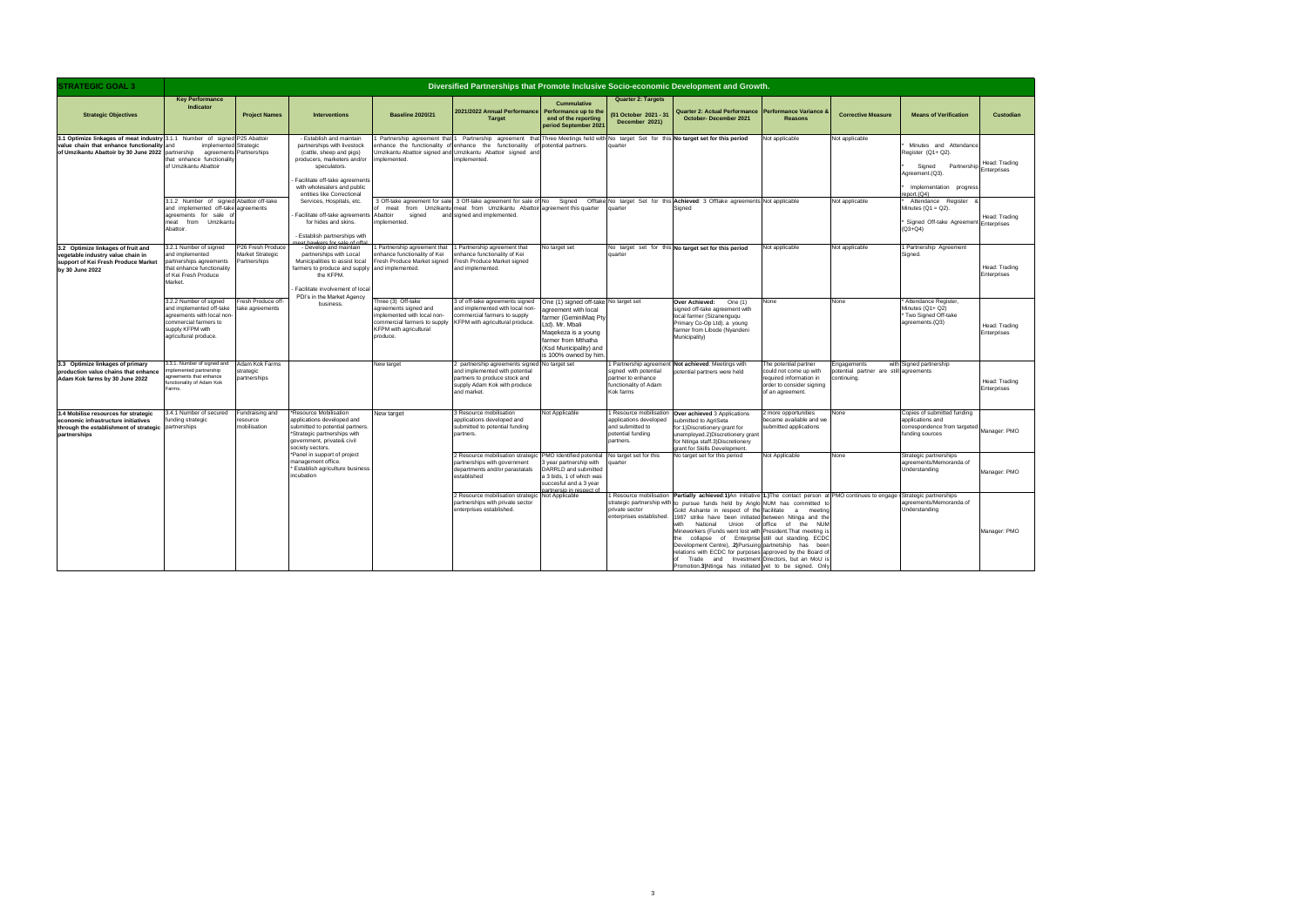| <b>Custodian</b>             |
|------------------------------|
| Head: Trading<br>Enterprises |
| Head: Trading<br>Enterprises |
| Head: Trading<br>Enterprises |
| Head: Trading<br>Enterprises |
| Head: Trading<br>Enterprises |
| Manager: PMO                 |

| <b>STRATEGIC GOAL 3</b>                                                                                                                                                                               |                                                                                                                                                        | Diversified Partnerships that Promote Inclusive Socio-economic Development and Growth. |                                                                                                                                                                                                                                   |                                                                                                                                                  |                                                                                                                                                                                                                                                                                                       |                                                                                                                                                                                                           |                                                                                   |                                                                                                                                                                                                                                                                                                                                                                                                                                                                                                                                                                                                                                                                                                                                  |                                                                                                                             |                                                                     |                                                                                                                                            |                              |
|-------------------------------------------------------------------------------------------------------------------------------------------------------------------------------------------------------|--------------------------------------------------------------------------------------------------------------------------------------------------------|----------------------------------------------------------------------------------------|-----------------------------------------------------------------------------------------------------------------------------------------------------------------------------------------------------------------------------------|--------------------------------------------------------------------------------------------------------------------------------------------------|-------------------------------------------------------------------------------------------------------------------------------------------------------------------------------------------------------------------------------------------------------------------------------------------------------|-----------------------------------------------------------------------------------------------------------------------------------------------------------------------------------------------------------|-----------------------------------------------------------------------------------|----------------------------------------------------------------------------------------------------------------------------------------------------------------------------------------------------------------------------------------------------------------------------------------------------------------------------------------------------------------------------------------------------------------------------------------------------------------------------------------------------------------------------------------------------------------------------------------------------------------------------------------------------------------------------------------------------------------------------------|-----------------------------------------------------------------------------------------------------------------------------|---------------------------------------------------------------------|--------------------------------------------------------------------------------------------------------------------------------------------|------------------------------|
| <b>Strategic Objectives</b>                                                                                                                                                                           | <b>Key Performance</b><br><b>Indicator</b>                                                                                                             | <b>Project Names</b>                                                                   | <b>Interventions</b>                                                                                                                                                                                                              | <b>Baseline 2020/21</b>                                                                                                                          | 2021/2022 Annual Performance<br><b>Target</b>                                                                                                                                                                                                                                                         | Cummulative<br>Performance up to the<br>end of the reporting<br>period September 2021                                                                                                                     | <b>Quarter 2: Targets</b><br>01 October 2021 - 31<br>December 2021)               | Quarter 2: Actual Performance Performance Variance &<br>October-December 2021                                                                                                                                                                                                                                                                                                                                                                                                                                                                                                                                                                                                                                                    | <b>Reasons</b>                                                                                                              | <b>Corrective Measure</b>                                           | <b>Means of Verification</b>                                                                                                               | Custodian                    |
| 3.1 Optimize linkages of meat industry 3.1.1 Number of signed P25 Abattoin<br>value chain that enhance functionality and<br>of Umzikantu Abattoir by 30 June 2022 partnership agreements Partnerships | implemented Strategic<br>that enhance functionalit<br>of Umzikantu Abattoir                                                                            |                                                                                        | - Establish and maintain<br>partnerships with livestock<br>(cattle, sheep and pigs)<br>producers, marketers and/or<br>speculators.<br>Facilitate off-take agreements<br>with wholesalers and public<br>entities like Correctional | implemented.                                                                                                                                     | Partnership agreement that 1 Partnership agreement that Three Meetings held with No target Set for this No target set for this period<br>enhance the functionality of enhance the functionality of potential partners.<br>Umzikantu Abattoir signed and Umzikantu Abattoir signed and<br>implemented. |                                                                                                                                                                                                           | quarter                                                                           |                                                                                                                                                                                                                                                                                                                                                                                                                                                                                                                                                                                                                                                                                                                                  | Not applicable                                                                                                              | Not applicable                                                      | Minutes and Attendance<br>Register (Q1+ Q2).<br>Signed Partnership Head. Trade<br>Agreement.(Q3).<br>Implementation progress<br>eport.(Q4) | Head: Trading                |
|                                                                                                                                                                                                       | 3.1.2 Number of signed Abattoir off-take<br>and implemented off-take agreements<br>agreements for sale of<br>meat from Umzikantu<br>Abattoir.          |                                                                                        | Services, Hospitals, etc.<br>Facilitate off-take agreements Abattoir<br>for hides and skins.<br>- Establish partnerships with                                                                                                     | signed<br>implemented.                                                                                                                           | of meat from Umzikantu meat from Umzikantu Abattoir agreement this quarter<br>and signed and implemented.                                                                                                                                                                                             |                                                                                                                                                                                                           | quarter                                                                           | 3 Off-take agreement for sale 3 Off-take agreement for sale of No Signed Offtake No target Set for this <b>Achieved:</b> 3 Offtake agreements Not applicable<br>Signed                                                                                                                                                                                                                                                                                                                                                                                                                                                                                                                                                           |                                                                                                                             | Not applicable                                                      | Attendance Register<br>Minutes $(Q1 = Q2)$ .<br>Signed Off-take Agreement Enterprises<br>$(Q3 + Q4)$                                       | Head: Trading                |
| 3.2 Optimize linkages of fruit and<br>vegetable industry value chain in<br>support of Kei Fresh Produce Market<br>by 30 June 2022                                                                     | 3.2.1 Number of signed<br>and implemented<br>partnerships agreements<br>hat enhance functionality<br>of Kei Fresh Produce<br>Market.                   | P26 Fresh Produce<br>Market Strategic<br>Partnerships                                  | - Develop and maintain<br>partnerships with Local<br>Municipalities to assist local<br>farmers to produce and supply and implemented.<br>the KFPM.<br>Facilitate involvement of local                                             | Partnership agreement that<br>enhance functionality of Kei<br>Fresh Produce Market signed                                                        | 1 Partnership agreement that<br>enhance functionality of Kei<br>Fresh Produce Market signed<br>and implemented.                                                                                                                                                                                       | No target set                                                                                                                                                                                             | quarter                                                                           | No target set for this No target set for this period                                                                                                                                                                                                                                                                                                                                                                                                                                                                                                                                                                                                                                                                             | Not applicable                                                                                                              | Not applicable                                                      | 1 Partnership Agreement<br>Signed.                                                                                                         | Head: Trading<br>Enterprises |
|                                                                                                                                                                                                       | 3.2.2 Number of signed<br>and implemented off-take<br>agreements with local non-<br>commercial farmers to<br>supply KFPM with<br>agricultural produce. | Fresh Produce off-<br>take agreements                                                  | PDI's in the Market Agency<br>business.                                                                                                                                                                                           | Three (3) Off-take<br>agreements signed and<br>implemented with local non-<br>commercial farmers to supply<br>KFPM with agricultural<br>produce. | 3 of off-take agreements signed<br>and implemented with local non-<br>commercial farmers to supply<br>KFPM with agricultural produce.                                                                                                                                                                 | One (1) signed off-take No target set<br>agreement with local<br>armer (GeminiMaq Pty<br>Ltd), Mr. Mbali<br>Magekeza is a young<br>farmer from Mthatha<br>(Ksd Municipality) and<br>is 100% owned by him. |                                                                                   | Over Achieved:<br>One (1)<br>signed off-take agreement with<br>local farmer (Sizanenguqu<br>Primary Co-Op Ltd). a young<br>armer from Libode (Nyandeni<br>Municipality)                                                                                                                                                                                                                                                                                                                                                                                                                                                                                                                                                          | None                                                                                                                        | None                                                                | * Attendance Register.<br>Minutes (Q1+ Q2)<br>* Two Signed Off-take<br>agreements.(Q3)                                                     | Head: Trading<br>Enterprises |
| 3.3 Optimize linkages of primary<br>production value chains that enhance<br>Adam Kok farms by 30 June 2022                                                                                            | 3.3.1. Number of signed and<br>plemented partnership<br>greements that enhance<br>functionality of Adam Kok<br>arms.                                   | Adam Kok Farms<br>strategic<br>partnerships                                            |                                                                                                                                                                                                                                   | New target                                                                                                                                       | 2 partnership agreements signed No target set<br>and implemented with potential<br>partners to produce stock and<br>supply Adam Kok with produce<br>and market.                                                                                                                                       |                                                                                                                                                                                                           | signed with potential<br>partner to enhance<br>functionality of Adam<br>Kok farms | Partnership agreement Not achieved: Meetings with<br>ootential partners were held                                                                                                                                                                                                                                                                                                                                                                                                                                                                                                                                                                                                                                                | The potential partner<br>could not come up with<br>required information in<br>order to consider signing<br>of an agreement. | Engagements<br>otential partner are still agreements<br>continuing. | with Signed partnership                                                                                                                    | Head: Trading<br>Enterprises |
| 3.4 Mobilise resources for strategic<br>economic infrastructure initiatives<br>through the establishment of strategic partnerships<br>partnerships                                                    | 3.4.1 Number of secured<br>unding strategic                                                                                                            | Fundraising and<br>resource<br>mobilisation                                            | Resource Mobilisation<br>applications developed and<br>submitted to potential partners.<br>*Strategic partnerships with<br>government, private& civil<br>society sectors.                                                         | New target                                                                                                                                       | 3 Resource mobilisation<br>applications developed and<br>submitted to potential funding<br>partners.                                                                                                                                                                                                  | Not Applicable                                                                                                                                                                                            | applications developed<br>and submitted to<br>potential funding<br>partners.      | 1 Resource mobilisation Over achieved 3 Applications<br>submitted to AgriSeta<br>or:1) Discretionery grant for<br>unemployed.2)Discretionery grant<br>for Ntinga staff.3)Discretionery<br>grant for Skills Development.                                                                                                                                                                                                                                                                                                                                                                                                                                                                                                          | more opportunities<br>became available and we<br>submitted applications                                                     | None                                                                | Copies of submitted funding<br>applications and<br>correspondence from targeted<br>funding sources                                         | Manager: PMO                 |
|                                                                                                                                                                                                       |                                                                                                                                                        |                                                                                        | *Panel in support of project<br>management office.<br>* Establish agriculture business<br>incubation                                                                                                                              |                                                                                                                                                  | 2 Resource mobilisation strategic<br>partnerships with government<br>departments and/or parastatals<br>established                                                                                                                                                                                    | PMO Identified potential No target set for this<br>3 year partnership with<br>DARRLD and submitted<br>a 3 bids, 1 of which was<br>succesful and a 3 year<br>artnersin in res                              | nuarter                                                                           | No target set for this period                                                                                                                                                                                                                                                                                                                                                                                                                                                                                                                                                                                                                                                                                                    | Not Applicable                                                                                                              | None                                                                | Strategic partnerships<br>agreements/Memoranda of<br>Understanding                                                                         | Manager: PMO                 |
|                                                                                                                                                                                                       |                                                                                                                                                        |                                                                                        |                                                                                                                                                                                                                                   |                                                                                                                                                  | 2 Resource mobilisation strategic<br>partnerships with private sector<br>enterprises established.                                                                                                                                                                                                     | Not Applicable                                                                                                                                                                                            | private sector<br>enterprises established.                                        | Resource mobilisation Partially achieved:1)An initiative 1.)The contact person at PMO continues to engage Strategic partnerships<br>strategic partnership with to pursue funds held by Anglo NUM has committed t<br>Gold Ashante in respect of the facilitate<br>1987 strike have been initiated between Ntinga and the<br>National Union of office of the NUM<br>with<br>Mineworkers (Funds went lost with President. That meeting i<br>the collapse of Enterprise still out standing. ECDC<br>Development Centre), .2) Pursuing partnetship has beer<br>relations with ECDC for purposes approved by the Board of<br>of Trade and Investment Directors, but an MoU i<br>Promotion.3)Ntinga has initiated yet to be signed. Onl | meeting                                                                                                                     |                                                                     | agreements/Memoranda of<br>Understanding                                                                                                   | Manager: PMO                 |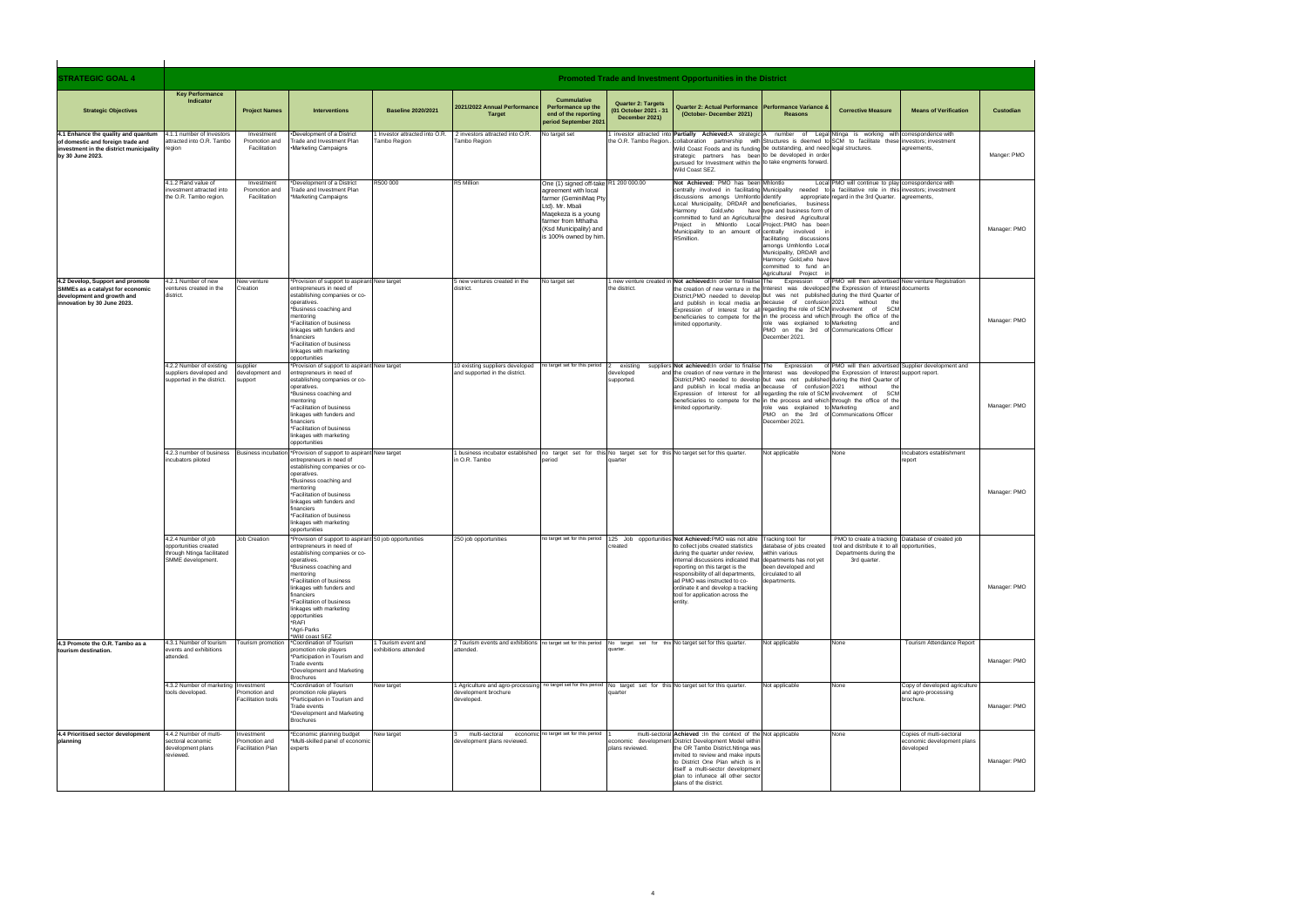| <b>STRATEGIC GOAL 4</b>                                                                                                                        | Promoted Trade and Investment Opportunities in the District                                     |                                                        |                                                                                                                                                                                                                                                                                                                                                                       |                                                |                                                                                                                                                              |                                                                                                                                                                                                            |                                                                      |                                                                                                                                                                                                                                                                                                                                                                                                                                                                                                                        |                                                                                                                                                      |                                                                                               |                                                                         |              |
|------------------------------------------------------------------------------------------------------------------------------------------------|-------------------------------------------------------------------------------------------------|--------------------------------------------------------|-----------------------------------------------------------------------------------------------------------------------------------------------------------------------------------------------------------------------------------------------------------------------------------------------------------------------------------------------------------------------|------------------------------------------------|--------------------------------------------------------------------------------------------------------------------------------------------------------------|------------------------------------------------------------------------------------------------------------------------------------------------------------------------------------------------------------|----------------------------------------------------------------------|------------------------------------------------------------------------------------------------------------------------------------------------------------------------------------------------------------------------------------------------------------------------------------------------------------------------------------------------------------------------------------------------------------------------------------------------------------------------------------------------------------------------|------------------------------------------------------------------------------------------------------------------------------------------------------|-----------------------------------------------------------------------------------------------|-------------------------------------------------------------------------|--------------|
| <b>Strategic Objectives</b>                                                                                                                    | <b>Key Performance</b><br>Indicator                                                             | <b>Project Names</b>                                   | <b>Interventions</b>                                                                                                                                                                                                                                                                                                                                                  | <b>Baseline 2020/2021</b>                      | 2021/2022 Annual Performance<br><b>Target</b>                                                                                                                | <b>Cummulative</b><br>Performance up the<br>end of the reporting<br>period September 2021                                                                                                                  | <b>Quarter 2: Targets</b><br>(01 October 2021 - 31<br>December 2021) | <b>Quarter 2: Actual Performance</b><br>(October-December 2021)                                                                                                                                                                                                                                                                                                                                                                                                                                                        | <b>Performance Variance 8</b><br><b>Reasons</b>                                                                                                      | <b>Corrective Measure</b>                                                                     | <b>Means of Verification</b>                                            | Custodian    |
| 4.1 Enhance the quality and quantum<br>of domestic and foreign trade and<br>investment in the district municipality region<br>by 30 June 2023. | 4.1.1 number of Investors<br>attracted into O.R. Tambo                                          | Investment<br>Promotion and<br>Facilitation            | •Development of a District<br>Trade and Investment Plan<br><b>.Marketing Campaigns</b>                                                                                                                                                                                                                                                                                | I Investor attracted into O.R.<br>Tambo Region | 2 investors attracted into O.R.<br>ambo Region                                                                                                               | No target set                                                                                                                                                                                              | the O.R. Tambo Region.                                               | investor attracted into <b>Partially Achieved:</b> A strategic A number of Legal Ntinga is working with correspondence with<br>collaboration partnership with Structures is deemed to SCM to facilitate these investors; investment<br>Wild Coast Foods and its funding be outstanding, and need legal structures.<br>strategic partners has been to be developed in order<br>pursued for Investment within the to take engments forward<br>Wild Coast SEZ.                                                            |                                                                                                                                                      |                                                                                               | agreements,                                                             | Manger: PMO  |
|                                                                                                                                                | 4.1.2 Rand value of<br>investment attracted into<br>the O.R. Tambo region.                      | Investment<br>Promotion and<br>Facilitation            | Development of a District<br>Trade and Investment Plan<br>*Marketing Campaigns                                                                                                                                                                                                                                                                                        | R500 000                                       | R5 Million                                                                                                                                                   | One (1) signed off-take R1 200 000.00<br>agreement with local<br>farmer (GeminiMaq Pty<br>Ltd). Mr. Mbali<br>Magekeza is a young<br>farmer from Mthatha<br>(Ksd Municipality) and<br>is 100% owned by him. |                                                                      | Not Achieved: PMO has been Mhlontlo<br>centrally involved in facilitating Municipality needed to a facilitative role in this investors; investment<br>discussions amongs Umhlontlo identify<br>Local Municipality, DRDAR and beneficiaries, business<br>Harmony Gold, who have type and business form of<br>committed to fund an Agricultural the desired Agricultural<br>Project in Mhlontlo Local Project.:PMO has been<br>Municipality to an amount of centrally involved<br>R5million.                             | facilitating discussions<br>amongs Umhlontlo Local<br>Municipality, DRDAR and<br>Harmony Gold, who have<br>committed to fund<br>Agricultural Project | Local PMO will continue to play correspondence with<br>appropriate regard in the 3rd Quarter. | agreements,                                                             | Manager: PMO |
| 4.2 Develop, Support and promote<br>SMMEs as a catalyst for economic<br>development and growth and<br>innovation by 30 June 2023.              | 4.2.1 Number of new<br>ventures created in the<br>district.                                     | New venture<br>Creation                                | *Provision of support to aspirant New target<br>entrepreneurs in need of<br>establishing companies or co-<br>operatives.<br>*Business coaching and<br>mentoring<br>*Facilitation of business<br>linkages with funders and<br>financiers<br>*Facilitation of business<br>linkages with marketing<br>opportunities                                                      |                                                | 5 new ventures created in the<br>district.                                                                                                                   | No target set                                                                                                                                                                                              | the district.                                                        | 1 new venture created in Not achieved: In order to finalise The<br>the creation of new venture in the Interest was developed the Expression of Interest documents<br>District, PMO needed to develop but was not published during the third Quarter of<br>and publish in local media an because of confusion 2021 without<br>Expression of Interest for all regarding the role of SCM involvement of SCM<br>beneficiaries to compete for the in the process and which through the office of the<br>imited opportunity. | Expression<br>role was explained to Marketing<br>PMO on the 3rd of Communications Officer<br>December 2021.                                          | of PMO will then advertised New venture Registration                                          |                                                                         | Manager: PMO |
|                                                                                                                                                | 4.2.2 Number of existing<br>suppliers developed and<br>supported in the district.               | supplier<br>development and<br>support                 | Provision of support to aspirant New target<br>entrepreneurs in need of<br>establishing companies or co-<br>operatives.<br>*Business coaching and<br>mentoring<br>*Facilitation of business<br>linkages with funders and<br>financiers<br>*Facilitation of business<br>linkages with marketing<br>opportunities                                                       |                                                | 10 existing suppliers developed<br>and supported in the district.                                                                                            | no target set for this period                                                                                                                                                                              | existing<br>developed<br>supported.                                  | suppliers Not achieved: In order to finalise The Expression<br>and the creation of new venture in the Interest was developed the Expression of Interest<br>District, PMO needed to develop but was not published during the third Quarter of<br>and publish in local media an because of confusion 2021<br>Expression of Interest for all regarding the role of SCM involvement of SCM<br>beneficiaries to compete for the in the process and which through the office of the<br>imited opportunity.                   | role was explained to Marketing<br>PMO on the 3rd of Communications Officer<br>December 2021                                                         | without                                                                                       | of PMO will then advertised Supplier development and<br>support report. | Manager: PMO |
|                                                                                                                                                | incubators piloted                                                                              |                                                        | 4.2.3 number of business Business incubation *Provision of support to aspirant New target<br>entrepreneurs in need of<br>establishing companies or co-<br>operatives.<br>*Business coaching and<br>mentoring<br>*Facilitation of business<br>linkages with funders and<br>financiers<br>*Facilitation of business<br>linkages with marketing<br>opportunities         |                                                | 1 business incubator established no target set for this No target set for this No target set for this quarter.<br>n O.R. Tambo                               | period                                                                                                                                                                                                     | quarter                                                              |                                                                                                                                                                                                                                                                                                                                                                                                                                                                                                                        | Not applicable                                                                                                                                       | None                                                                                          | Incubators establishment<br>report                                      | Manager: PMO |
|                                                                                                                                                | 4.2.4 Number of job<br>opportunities created<br>through Ntinga facilitated<br>SMME development. | Job Creation                                           | *Provision of support to aspirant 50 job opportunities<br>entrepreneurs in need of<br>establishing companies or co-<br>operatives.<br>*Business coaching and<br>mentoring<br>*Facilitation of business<br>linkages with funders and<br>financiers<br>*Facilitation of business<br>linkages with marketing<br>opportunities<br>*RAFI<br>*Agri-Parks<br>*Wild coast SEZ |                                                | 250 job opportunities                                                                                                                                        |                                                                                                                                                                                                            | created                                                              | no target set for this period 125 Job opportunities Not Achieved: PMO was not able Tracking tool for<br>to collect jobs created statistics<br>during the quarter under review,<br>internal discussions indicated that departments has not yet<br>reporting on this target is the<br>responsibility of all departments,<br>ad PMO was instructed to co-<br>ordinate it and develop a tracking<br>tool for application across the<br>entity.                                                                             | database of jobs created<br>within various<br>been developed and<br>circulated to all<br>departments.                                                | tool and distribute it to all opportunities.<br>Departments during the<br>3rd quarter.        | PMO to create a tracking Database of created job                        | Manager: PMO |
| 4.3 Promote the O.R. Tambo as a<br>tourism destination.                                                                                        | 4.3.1 Number of tourism<br>events and exhibitions<br>attended.                                  | Tourism promotion                                      | *Coordination of Tourism<br>promotion role players<br>*Participation in Tourism and<br>Trade events<br>*Development and Marketing                                                                                                                                                                                                                                     | I Tourism event and<br>exhibitions attended    | 2 Tourism events and exhibitions no target set for this period No target set for this No target set for this quarter.<br>attended.                           |                                                                                                                                                                                                            | luarter                                                              |                                                                                                                                                                                                                                                                                                                                                                                                                                                                                                                        | Not applicable                                                                                                                                       | None                                                                                          | Tourism Attendance Report                                               | Manager: PMO |
|                                                                                                                                                | 4.3.2 Number of marketing Investment<br>tools developed.                                        | romotion and<br>Facilitation tools                     | <b>Brochures</b><br>*Coordination of Tourism<br>promotion role players<br>*Participation in Tourism and<br>Trade events<br>*Development and Marketing<br><b>Brochures</b>                                                                                                                                                                                             | New target                                     | 1 Agriculture and agro-processing no target set for this period No target set for this No target set for this quarter.<br>development brochure<br>developed. |                                                                                                                                                                                                            | quarter                                                              |                                                                                                                                                                                                                                                                                                                                                                                                                                                                                                                        | Not applicable                                                                                                                                       | None                                                                                          | Copy of developed agriculture<br>and agro-processing<br>brochure.       | Manager: PMO |
| 4.4 Prioritised sector development<br>planning                                                                                                 | 4.4.2 Number of multi-<br>sectoral economic<br>development plans<br>reviewed.                   | nvestment<br>Promotion and<br><b>Facilitation Plan</b> | *Economic planning budget<br>*Multi-skilled panel of economic<br>experts                                                                                                                                                                                                                                                                                              | New target                                     | multi-sectoral<br>development plans reviewed.                                                                                                                | economic no target set for this period                                                                                                                                                                     | plans reviewed.                                                      | multi-sectoral Achieved : In the context of the Not applicable<br>economic development District Development Model within<br>the OR Tambo District.Ntinga was<br>nvited to review and make inputs<br>to District One Plan which is in<br>itself a multi-sector development<br>plan to infunece all other sector<br>plans of the district.                                                                                                                                                                               |                                                                                                                                                      | None                                                                                          | Copies of multi-sectoral<br>economic development plans<br>developed     | Manager: PMO |

| Custodian         |  |
|-------------------|--|
| Manger: PMO       |  |
| Manager: PMO      |  |
| Manager: PMO      |  |
| Manager: PMO      |  |
| Manager: PMO      |  |
| Manager: PMO      |  |
| Manager: PMO<br>C |  |
| Manager: PMO      |  |
| Manager: PMO      |  |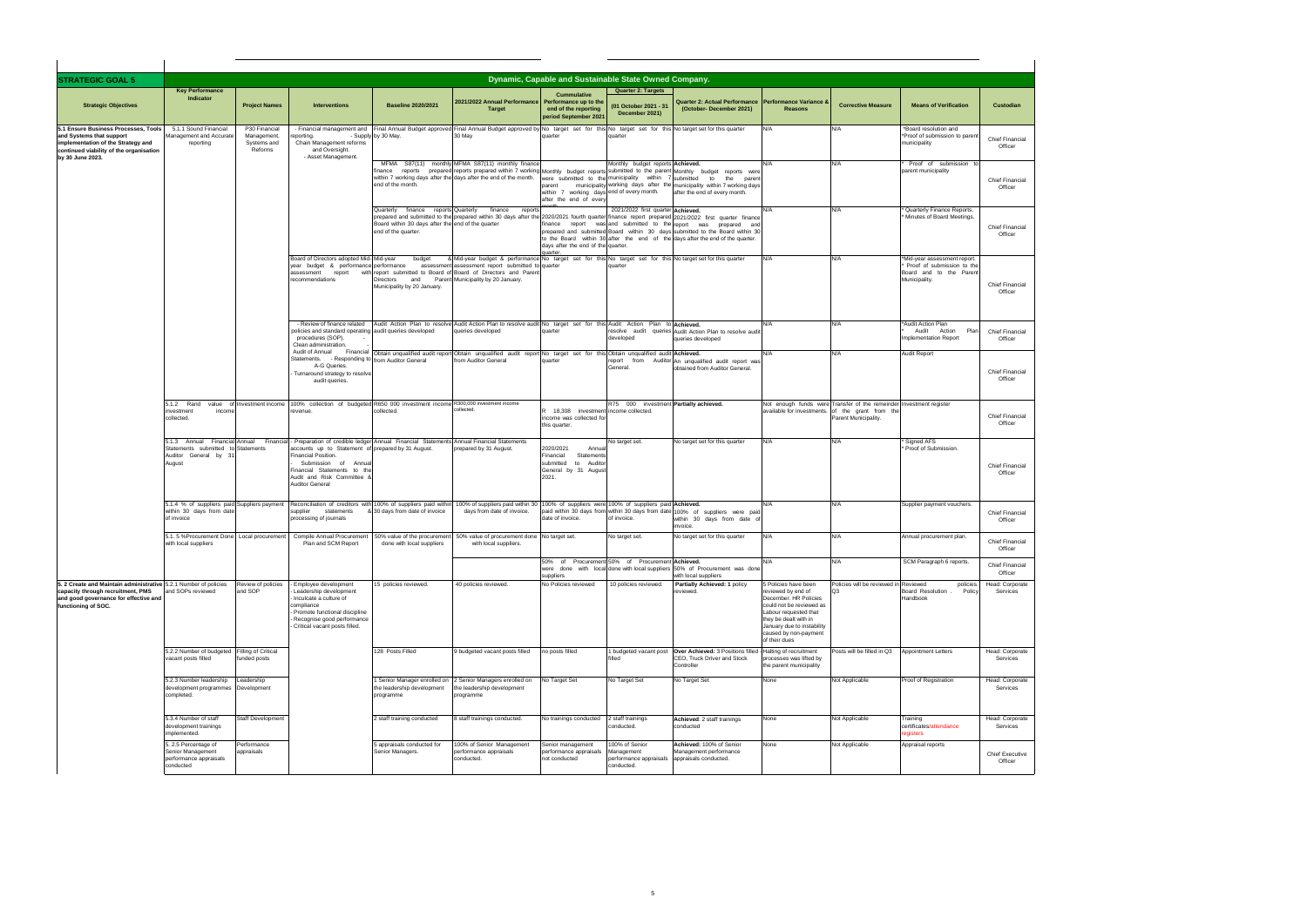| <b>STRATEGIC GOAL 5</b>                                                                                                                                               | Dynamic, Capable and Sustainable State Owned Company.                                 |                                                        |                                                                                                                                                                                                                                                                                                                              |                                                                                                                    |                                                                                                                                                                                                                                                                            |                                                                                                        |                                                                          |                                                                                                                                                                                                                                  |                                                                                                                                                                                                   |                                                                                                                                                 |                                                                                                       |                                                      |  |
|-----------------------------------------------------------------------------------------------------------------------------------------------------------------------|---------------------------------------------------------------------------------------|--------------------------------------------------------|------------------------------------------------------------------------------------------------------------------------------------------------------------------------------------------------------------------------------------------------------------------------------------------------------------------------------|--------------------------------------------------------------------------------------------------------------------|----------------------------------------------------------------------------------------------------------------------------------------------------------------------------------------------------------------------------------------------------------------------------|--------------------------------------------------------------------------------------------------------|--------------------------------------------------------------------------|----------------------------------------------------------------------------------------------------------------------------------------------------------------------------------------------------------------------------------|---------------------------------------------------------------------------------------------------------------------------------------------------------------------------------------------------|-------------------------------------------------------------------------------------------------------------------------------------------------|-------------------------------------------------------------------------------------------------------|------------------------------------------------------|--|
| <b>Strategic Objectives</b>                                                                                                                                           | <b>Key Performance</b><br>Indicator                                                   | <b>Project Names</b>                                   | <b>Interventions</b>                                                                                                                                                                                                                                                                                                         | <b>Baseline 2020/2021</b>                                                                                          | 2021/2022 Annual Performance<br><b>Target</b>                                                                                                                                                                                                                              | <b>Cummulative</b><br>Performance up to the<br>end of the reporting<br>period September 2021           | <b>Quarter 2: Targets</b><br>(01 October 2021 - 31<br>December 2021)     | <b>Quarter 2: Actual Performance</b><br>(October-December 2021)                                                                                                                                                                  | <b>Performance Variance &amp;</b><br><b>Reasons</b>                                                                                                                                               | <b>Corrective Measure</b>                                                                                                                       | <b>Means of Verification</b>                                                                          | Custodian                                            |  |
| 5.1 Ensure Business Processes. Tools<br>and Systems that support<br>implementation of the Strategy and<br>continued viability of the organisation<br>by 30 June 2023. | 5.1.1 Sound Financial<br>Management and Accurate<br>reporting                         | P30 Financial<br>Management,<br>Systems and<br>Reforms | - Financial management and<br>eporting.<br>Chain Management reforms<br>and Oversight.<br>- Asset Management.                                                                                                                                                                                                                 | - Supply by 30 May.                                                                                                | Final Annual Budget approved Final Annual Budget approved by No target set for this No target set for this No target set for this uarter<br>30 May                                                                                                                         | quarter                                                                                                | <b>uarter</b>                                                            |                                                                                                                                                                                                                                  | N/A                                                                                                                                                                                               | N/A                                                                                                                                             | *Board resolution and<br>*Proof of submission to parent<br>municipality                               | <b>Chief Financial</b><br>Officer                    |  |
|                                                                                                                                                                       |                                                                                       |                                                        |                                                                                                                                                                                                                                                                                                                              | end of the month.                                                                                                  | MFMA S87(11) monthly MFMA S87(11) monthly finance<br>finance reports prepared reports prepared within 7 working Monthly budget reports submitted to the parent Monthly budget reports were<br>within 7 working days after the days after the end of the month.             | parent<br>within 7 working days end of every month.<br>after the end of every                          | Monthly budget reports Achieved.                                         | were submitted to the municipality within 7 submitted to the parent<br>municipality working days after the municipality within 7 working days<br>after the end of every month.                                                   | N/A                                                                                                                                                                                               | N/A                                                                                                                                             | Proof of submission to<br>parent municipality                                                         | <b>Chief Financial</b><br>Officer                    |  |
|                                                                                                                                                                       |                                                                                       |                                                        |                                                                                                                                                                                                                                                                                                                              | finance reports Quarterly<br>Quarterly<br>Board within 30 days after the end of the quarter<br>end of the quarter. | finance<br>reports<br>prepared and submitted to the prepared within 30 days after the 2020/2021 fourth quarter finance report prepared 2021/2022 first quarter finance                                                                                                     | days after the end of the quarter.<br><b>Juarter</b>                                                   | 2021/2022 first quarter Achieved.                                        | inance report was and submitted to the report was prepared and<br>prepared and submitted Board within 30 days submitted to the Board within 30<br>to the Board within 30 after the end of the days after the end of the quarter. | N/A                                                                                                                                                                                               | N/A                                                                                                                                             | Quarterly Finance Reports.<br>Minutes of Board Meetings.                                              | <b>Chief Financial</b><br>Officer                    |  |
|                                                                                                                                                                       |                                                                                       |                                                        | Board of Directors adopted Mid- Mid-year<br>year budget & performance performance<br>assessment<br>report<br>recommendations                                                                                                                                                                                                 | budget<br>and<br>Directors<br>Municipality by 20 January.                                                          | & Mid-year budget & performance No target set for this No target set for this No target set for this quarter<br>assessment assessment report submitted to quarter<br>with report submitted to Board of Board of Directors and Parent<br>Parent Municipality by 20 January. |                                                                                                        | <b>uarte</b>                                                             |                                                                                                                                                                                                                                  | N/A                                                                                                                                                                                               | N/A                                                                                                                                             | *Mid-year assessment report.<br>Proof of submission to the<br>Board and to the Paren<br>Municipality. | <b>Chief Financial</b><br>Officer                    |  |
|                                                                                                                                                                       |                                                                                       |                                                        | - Review of finance related<br>policies and standard operating audit queries developed<br>procedures (SOP).<br>Clean administration.                                                                                                                                                                                         |                                                                                                                    | Audit Action Plan to resolve Audit Action Plan to resolve audit No target set for this Audit Action Plan to Achieved.<br>queries developed                                                                                                                                 | quarter                                                                                                | developed                                                                | resolve audit queries Audit Action Plan to resolve audit<br>queries developed                                                                                                                                                    | N/A                                                                                                                                                                                               | N/A                                                                                                                                             | *Audit Action Plan<br>Plan<br>Audit Action<br><b>Implementation Report</b>                            | <b>Chief Financial</b><br>Officer                    |  |
|                                                                                                                                                                       |                                                                                       |                                                        | Audit of Annual<br>Statements.<br>A-G Queries.<br>Turnaround strategy to resolve<br>audit queries.                                                                                                                                                                                                                           | - Responding to from Auditor General                                                                               | Financial Obtain unqualified audit report Obtain unqualified audit report No target set for this Obtain unqualified audit Achieved.<br>from Auditor General                                                                                                                | quarter                                                                                                | General                                                                  | report from Auditor An unqualified audit report was<br>obtained from Auditor General.                                                                                                                                            | N/A                                                                                                                                                                                               | N/A                                                                                                                                             | Audit Report                                                                                          | Chief Financial<br>Officer                           |  |
|                                                                                                                                                                       | 5.1.2 Rand<br>value<br>investment<br>incom<br>collected.                              |                                                        | of Investment income 100% collection of budgeted R650 000 investment income R300,000 investment income<br>revenue.                                                                                                                                                                                                           | collected.                                                                                                         | collected.                                                                                                                                                                                                                                                                 | R 18,308 investment income collected.<br>income was collected fo<br>this quarter.                      | R75 000 investment Partially achieved.                                   |                                                                                                                                                                                                                                  |                                                                                                                                                                                                   | Not enough funds were Transfer of the remeinder Investment register<br>available for investments. of the grant from the<br>Parent Municipality. |                                                                                                       | <b>Chief Financial</b><br>Officer                    |  |
|                                                                                                                                                                       | Statements submitted to Statements<br>Auditor General by 3<br>August                  |                                                        | 5.1.3 Annual Financial Annual Financial - Preparation of credible ledger Annual Financial Statements Annual Financial Statements<br>accounts up to Statement of prepared by 31 August.<br>Financial Position.<br>Submission of Annual<br>Financial Statements to the<br>Audit and Risk Committee 8<br><b>Auditor General</b> |                                                                                                                    | prepared by 31 August.                                                                                                                                                                                                                                                     | 2020/2021<br>Annua<br>Financial<br>Statement<br>submitted<br>to Audito<br>General by 31 Augus<br>2021. | No target set.                                                           | No target set for this quarter                                                                                                                                                                                                   | N/A                                                                                                                                                                                               | N/A                                                                                                                                             | Signed AFS<br>Proof of Submission.                                                                    | <b>Chief Financial</b><br>Officer                    |  |
|                                                                                                                                                                       | 5.1.4 % of suppliers paid Suppliers payment<br>within 30 days from date<br>of invoice |                                                        | Reconciliation of creditors with 100% of suppliers paid withir<br>supplier statements<br>processing of journals                                                                                                                                                                                                              | & 30 days from date of invoice                                                                                     | 100% of suppliers paid within 30<br>days from date of invoice.                                                                                                                                                                                                             | date of invoice.                                                                                       | 100% of suppliers were 100% of suppliers paid Achieved.<br>of invoice.   | paid within 30 days from within 30 days from date 100% of suppliers were paid<br>within 30 days from date of<br>invoice.                                                                                                         | N/A                                                                                                                                                                                               | N/A                                                                                                                                             | Supplier payment vouchers.                                                                            | <b>Chief Financial</b><br>Officer                    |  |
|                                                                                                                                                                       | 5.1. 5 %Procurement Done Local procurement<br>with local suppliers                    |                                                        | Compile Annual Procurement<br>Plan and SCM Report                                                                                                                                                                                                                                                                            | 50% value of the procurement<br>done with local suppliers                                                          | 50% value of procurement done No target set.<br>with local suppliers.                                                                                                                                                                                                      |                                                                                                        | No target set.                                                           | No target set for this quarter                                                                                                                                                                                                   | N/A                                                                                                                                                                                               | N/A                                                                                                                                             | Annual procurement plan.                                                                              | <b>Chief Financial</b><br>Officer                    |  |
| 5. 2 Create and Maintain administrative 5.2.1 Number of policies                                                                                                      |                                                                                       | Review of policies                                     | Employee development                                                                                                                                                                                                                                                                                                         | 15 policies reviewed.                                                                                              | 40 policies reviewed.                                                                                                                                                                                                                                                      | suppliers<br>No Policies reviewed                                                                      | 50% of Procurement 50% of Procurement Achieved.<br>10 policies reviewed. | were done with local done with local suppliers 50% of Procurement was done<br>with local suppliers<br>Partially Achieved: 1 policy                                                                                               | N/A<br>5 Policies have been                                                                                                                                                                       | N/A<br>Policies will be reviewed in Reviewed                                                                                                    | SCM Paragraph 6 reports.                                                                              | <b>Chief Financial</b><br>Officer<br>Head: Corporate |  |
| capacity through recruitment, PMS<br>and good governance for effective and<br>functioning of SOC.                                                                     | and SOPs reviewed                                                                     | and SOP                                                | Leadership development<br>Inculcate a culture of<br>compliance<br>Promote functional discipline<br>Recognise good performance<br>Critical vacant posts filled.                                                                                                                                                               |                                                                                                                    |                                                                                                                                                                                                                                                                            |                                                                                                        |                                                                          | reviewed.                                                                                                                                                                                                                        | reviewed by end of<br>December, HR Policies<br>could not be reviewed as<br>Labour requested that<br>they be dealt with in<br>January due to instability<br>caused by non-payment<br>of their dues | nз                                                                                                                                              | policies.<br>Board Resolution<br>Policy<br>Handbook                                                   | Services                                             |  |
|                                                                                                                                                                       | 5.2.2 Number of budgeted Filling of Critical<br>vacant posts filled                   | funded posts                                           |                                                                                                                                                                                                                                                                                                                              | 128 Posts Filled                                                                                                   | <b>J</b> budgeted vacant posts filled                                                                                                                                                                                                                                      | no posts filled                                                                                        | helli                                                                    | 1 budgeted vacant post Over Achieved: 3 Positions filled<br>CEO, Truck Driver and Stock<br>Controller                                                                                                                            | Halting of recruitment<br>processes was lifted by<br>the parent municipality                                                                                                                      | Posts will be filled in Q3                                                                                                                      | <b>Appointment Letters</b>                                                                            | Head: Corporate<br>Services                          |  |
|                                                                                                                                                                       | 5.2.3 Number leadership<br>development programmes Development<br>completed.           | Leadership                                             |                                                                                                                                                                                                                                                                                                                              | Senior Manager enrolled on<br>the leadership development<br>programme                                              | 2 Senior Managers enrolled on<br>the leadership development<br>programme                                                                                                                                                                                                   | No Target Set                                                                                          | No Target Set                                                            | No Target Set                                                                                                                                                                                                                    | None                                                                                                                                                                                              | Not Applicable                                                                                                                                  | Proof of Registration                                                                                 | Head: Corporate<br>Services                          |  |
|                                                                                                                                                                       | 5.3.4 Number of staff<br>development trainings<br>implemented.                        | Staff Development                                      |                                                                                                                                                                                                                                                                                                                              | 2 staff training conducted                                                                                         | 8 staff trainings conducted.                                                                                                                                                                                                                                               | No trainings conducted                                                                                 | 2 staff trainings<br>conducted.                                          | Achieved: 2 staff trainings<br>conducted                                                                                                                                                                                         | None                                                                                                                                                                                              | Not Applicable                                                                                                                                  | Training<br>certificates/attendance<br>egisters                                                       | Head: Corporate<br>Services                          |  |
|                                                                                                                                                                       | 5. 2.5 Percentage of<br>Senior Management<br>performance appraisals<br>conducted      | Performance<br>appraisals                              |                                                                                                                                                                                                                                                                                                                              | 5 appraisals conducted for<br>Senior Managers.                                                                     | 100% of Senior Management<br>performance appraisals<br>conducted.                                                                                                                                                                                                          | Senior management<br>performance appraisals<br>not conducted                                           | 100% of Senior<br>Management<br>performance appraisals<br>conducted.     | Achieved: 100% of Senior<br>Management performance<br>appraisals conducted.                                                                                                                                                      | None                                                                                                                                                                                              | Not Applicable                                                                                                                                  | Appraisal reports                                                                                     | <b>Chief Executive</b><br>Officer                    |  |

| <b>Custodian</b>                                |  |
|-------------------------------------------------|--|
| <b>Chief Financial</b><br>Officer               |  |
| Chief Financial<br>Officer                      |  |
| <b>Chief Financial</b><br>Officer               |  |
| Chief Financial<br>Officer                      |  |
| <b>Chief Financial</b><br>Officer               |  |
| <b>Chief Financial</b><br>Officer               |  |
| <b>Chief Financial</b><br>Officer               |  |
| <b>Chief Financial</b><br>Officer<br>$\epsilon$ |  |
| <b>Chief Financial</b><br>Officer               |  |
| <b>Chief Financial</b><br>Officer               |  |
| <b>Chief Financial</b><br>Officer<br>C          |  |
| Head: Corporate<br>Services                     |  |
| Head: Corporate<br>Services                     |  |
| <b>Head: Corporate</b><br>Services              |  |
| Head: Corporate<br>Services                     |  |
| <b>Chief Executive</b><br>Officer<br>C          |  |